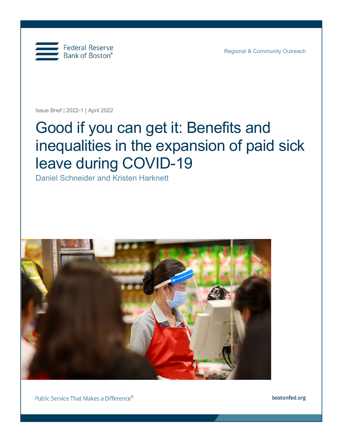

Regional & Community Outreach

Issue Brief | 2022-1 | April 2022

# Good if you can get it: Benefits and inequalities in the expansion of paid sick leave during COVID-19

Daniel Schneider and Kristen Harknett



Public Service That Makes a Difference®

bostonfed.org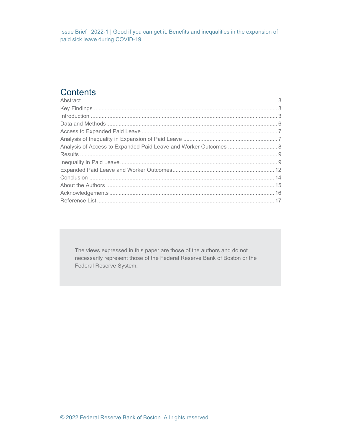# **Contents**

| Analysis of Access to Expanded Paid Leave and Worker Outcomes  8 |  |
|------------------------------------------------------------------|--|
|                                                                  |  |
|                                                                  |  |
|                                                                  |  |
|                                                                  |  |
|                                                                  |  |
|                                                                  |  |
|                                                                  |  |

The views expressed in this paper are those of the authors and do not necessarily represent those of the Federal Reserve Bank of Boston or the Federal Reserve System.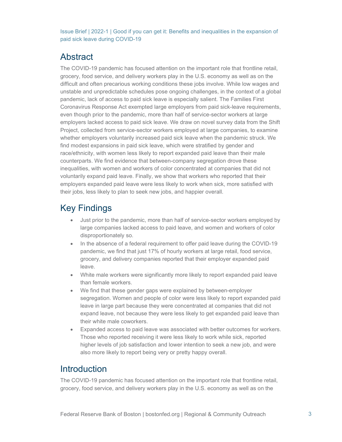## <span id="page-2-0"></span>Abstract

The COVID-19 pandemic has focused attention on the important role that frontline retail, grocery, food service, and delivery workers play in the U.S. economy as well as on the difficult and often precarious working conditions these jobs involve. While low wages and unstable and unpredictable schedules pose ongoing challenges, in the context of a global pandemic, lack of access to paid sick leave is especially salient. The Families First Coronavirus Response Act exempted large employers from paid sick-leave requirements, even though prior to the pandemic, more than half of service-sector workers at large employers lacked access to paid sick leave. We draw on novel survey data from the Shift Project, collected from service-sector workers employed at large companies, to examine whether employers voluntarily increased paid sick leave when the pandemic struck. We find modest expansions in paid sick leave, which were stratified by gender and race/ethnicity, with women less likely to report expanded paid leave than their male counterparts. We find evidence that between-company segregation drove these inequalities, with women and workers of color concentrated at companies that did not voluntarily expand paid leave. Finally, we show that workers who reported that their employers expanded paid leave were less likely to work when sick, more satisfied with their jobs, less likely to plan to seek new jobs, and happier overall.

# <span id="page-2-1"></span>Key Findings

- Just prior to the pandemic, more than half of service-sector workers employed by large companies lacked access to paid leave, and women and workers of color disproportionately so.
- In the absence of a federal requirement to offer paid leave during the COVID-19 pandemic, we find that just 17% of hourly workers at large retail, food service, grocery, and delivery companies reported that their employer expanded paid leave.
- White male workers were significantly more likely to report expanded paid leave than female workers.
- We find that these gender gaps were explained by between-employer segregation. Women and people of color were less likely to report expanded paid leave in large part because they were concentrated at companies that did not expand leave, not because they were less likely to get expanded paid leave than their white male coworkers.
- Expanded access to paid leave was associated with better outcomes for workers. Those who reported receiving it were less likely to work while sick, reported higher levels of job satisfaction and lower intention to seek a new job, and were also more likely to report being very or pretty happy overall.

# <span id="page-2-2"></span>**Introduction**

The COVID-19 pandemic has focused attention on the important role that frontline retail, grocery, food service, and delivery workers play in the U.S. economy as well as on the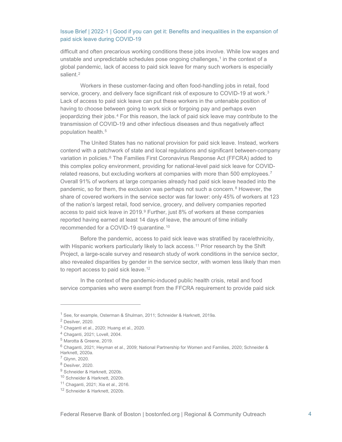difficult and often precarious working conditions these jobs involve. While low wages and unstable and unpredictable schedules pose ongoing challenges, $1$  in the context of a global pandemic, lack of access to paid sick leave for many such workers is especially salient.<sup>[2](#page-3-1)</sup>

Workers in these customer-facing and often food-handling jobs in retail, food service, grocery, and delivery face significant risk of exposure to COVID-19 at work.<sup>[3](#page-3-2)</sup> Lack of access to paid sick leave can put these workers in the untenable position of having to choose between going to work sick or forgoing pay and perhaps even jeopardizing their jobs.[4](#page-3-3) For this reason, the lack of paid sick leave may contribute to the transmission of COVID-19 and other infectious diseases and thus negatively affect population health.<sup>[5](#page-3-4)</sup>

The United States has no national provision for paid sick leave. Instead, workers contend with a patchwork of state and local regulations and significant between-company variation in policies.<sup>[6](#page-3-5)</sup> The Families First Coronavirus Response Act (FFCRA) added to this complex policy environment, providing for national-level paid sick leave for COVIDrelated reasons, but excluding workers at companies with more than  $500$  employees.<sup>[7](#page-3-6)</sup> Overall 91% of workers at large companies already had paid sick leave headed into the pandemic, so for them, the exclusion was perhaps not such a concern.<sup>[8](#page-3-7)</sup> However, the share of covered workers in the service sector was far lower: only 45% of workers at 123 of the nation's largest retail, food service, grocery, and delivery companies reported access to paid sick leave in 201[9](#page-3-8).<sup>9</sup> Further, just 8% of workers at these companies reported having earned at least 14 days of leave, the amount of time initially recommended for a COVID-19 quarantine.[10](#page-3-9)

Before the pandemic, access to paid sick leave was stratified by race/ethnicity, with Hispanic workers particularly likely to lack access.<sup>[11](#page-3-10)</sup> Prior research by the Shift Project, a large-scale survey and research study of work conditions in the service sector, also revealed disparities by gender in the service sector, with women less likely than men to report access to paid sick leave.<sup>[12](#page-3-11)</sup>

In the context of the pandemic-induced public health crisis, retail and food service companies who were exempt from the FFCRA requirement to provide paid sick

<span id="page-3-1"></span><span id="page-3-0"></span><sup>1</sup> See, for example, Osterman & Shulman, 2011; Schneider & Harknett, 2019a.

<sup>2</sup> Desilver, 2020.

<span id="page-3-2"></span><sup>3</sup> Chaganti et al., 2020; Huang et al., 2020.

<span id="page-3-3"></span><sup>4</sup> Chaganti, 2021; Lovell, 2004.

<span id="page-3-4"></span><sup>5</sup> Marotta & Greene, 2019.

<span id="page-3-5"></span><sup>6</sup> Chaganti, 2021; Heyman et al., 2009; National Partnership for Women and Families, 2020; Schneider & Harknett, 2020a.

<span id="page-3-6"></span><sup>7</sup> Glynn, 2020.

<span id="page-3-7"></span><sup>8</sup> Desilver, 2020.

<span id="page-3-8"></span><sup>9</sup> Schneider & Harknett, 2020b.

<span id="page-3-9"></span><sup>10</sup> Schneider & Harknett, 2020b.

<span id="page-3-11"></span><span id="page-3-10"></span><sup>11</sup> Chaganti, 2021; Xia et al., 2016.

<sup>12</sup> Schneider & Harknett, 2020b.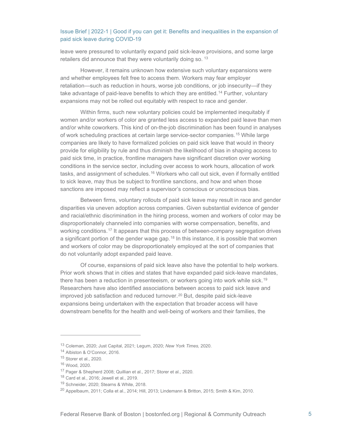leave were pressured to voluntarily expand paid sick-leave provisions, and some large retailers did announce that they were voluntarily doing so. <sup>[13](#page-4-0)</sup>

However, it remains unknown how extensive such voluntary expansions were and whether employees felt free to access them. Workers may fear employer retaliation—such as reduction in hours, worse job conditions, or job insecurity—if they take advantage of paid-leave benefits to which they are entitled.<sup>[14](#page-4-1)</sup> Further, voluntary expansions may not be rolled out equitably with respect to race and gender.

Within firms, such new voluntary policies could be implemented inequitably if women and/or workers of color are granted less access to expanded paid leave than men and/or white coworkers. This kind of on-the-job discrimination has been found in analyses of work scheduling practices at certain large service-sector companies.<sup>[15](#page-4-2)</sup> While large companies are likely to have formalized policies on paid sick leave that would in theory provide for eligibility by rule and thus diminish the likelihood of bias in shaping access to paid sick time, in practice, frontline managers have significant discretion over working conditions in the service sector, including over access to work hours, allocation of work tasks, and assignment of schedules.<sup>[16](#page-4-3)</sup> Workers who call out sick, even if formally entitled to sick leave, may thus be subject to frontline sanctions, and how and when those sanctions are imposed may reflect a supervisor's conscious or unconscious bias.

Between firms, voluntary rollouts of paid sick leave may result in race and gender disparities via uneven adoption across companies. Given substantial evidence of gender and racial/ethnic discrimination in the hiring process, women and workers of color may be disproportionately channeled into companies with worse compensation, benefits, and working conditions.<sup>[17](#page-4-4)</sup> It appears that this process of between-company segregation drives a significant portion of the gender wage gap.<sup>[18](#page-4-5)</sup> In this instance, it is possible that women and workers of color may be disproportionately employed at the sort of companies that do not voluntarily adopt expanded paid leave.

Of course, expansions of paid sick leave also have the potential to help workers. Prior work shows that in cities and states that have expanded paid sick-leave mandates, there has been a reduction in presenteeism, or workers going into work while sick.<sup>19</sup> Researchers have also identified associations between access to paid sick leave and improved job satisfaction and reduced turnover.<sup>[20](#page-4-7)</sup> But, despite paid sick-leave expansions being undertaken with the expectation that broader access will have downstream benefits for the health and well-being of workers and their families, the

<span id="page-4-0"></span><sup>13</sup> Coleman, 2020; Just Capital, 2021; Legum, 2020; *New York Times,* 2020.

<span id="page-4-1"></span><sup>14</sup> Albiston & O'Connor, 2016.

<span id="page-4-2"></span><sup>15</sup> Storer et al., 2020.

<span id="page-4-3"></span><sup>16</sup> Wood, 2020.

<sup>17</sup> Pager & Shepherd 2008; Quillian et al., 2017; Storer et al., 2020.

<span id="page-4-6"></span><span id="page-4-5"></span><span id="page-4-4"></span><sup>18</sup> Card et al., 2016; Jewell et al., 2019.

<sup>19</sup> Schneider, 2020; Stearns & White, 2018.

<span id="page-4-7"></span> $^{20}$  Appelbaum, 2011; Colla et al., 2014; Hill, 2013; Lindemann & Britton, 2015; Smith & Kim, 2010.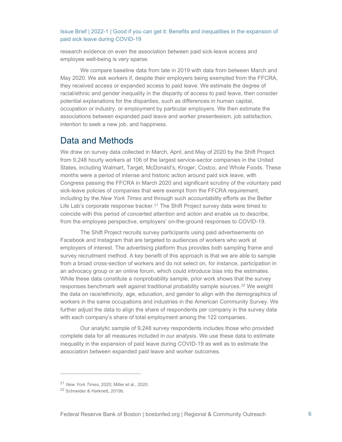research evidence on even the association between paid sick-leave access and employee well-being is very sparse.

We compare baseline data from late in 2019 with data from between March and May 2020. We ask workers if, despite their employers being exempted from the FFCRA, they received access or expanded access to paid leave. We estimate the degree of racial/ethnic and gender inequality in the disparity of access to paid leave, then consider potential explanations for the disparities, such as differences in human capital, occupation or industry, or employment by particular employers. We then estimate the associations between expanded paid leave and worker presenteeism, job satisfaction, intention to seek a new job, and happiness.

## <span id="page-5-0"></span>Data and Methods

We draw on survey data collected in March, April, and May of 2020 by the Shift Project from 9,248 hourly workers at 106 of the largest service-sector companies in the United States, including Walmart, Target, McDonald's, Kroger, Costco, and Whole Foods. These months were a period of intense and historic action around paid sick leave, with Congress passing the FFCRA in March 2020 and significant scrutiny of the voluntary paid sick-leave policies of companies that were exempt from the FFCRA requirement, including by the *New York Times* and through such accountability efforts as the Better Life Lab's corporate response tracker.<sup>[21](#page-5-1)</sup> The Shift Project survey data were timed to coincide with this period of concerted attention and action and enable us to describe, from the employee perspective, employers' on-the-ground responses to COVID-19.

The Shift Project recruits survey participants using paid advertisements on Facebook and Instagram that are targeted to audiences of workers who work at employers of interest. The advertising platform thus provides both sampling frame and survey recruitment method. A key benefit of this approach is that we are able to sample from a broad cross-section of workers and do not select on, for instance, participation in an advocacy group or an online forum, which could introduce bias into the estimates. While these data constitute a nonprobability sample, prior work shows that the survey responses benchmark well against traditional probability sample sources.<sup>[22](#page-5-2)</sup> We weight the data on race/ethnicity, age, education, and gender to align with the demographics of workers in the same occupations and industries in the American Community Survey. We further adjust the data to align the share of respondents per company in the survey data with each company's share of total employment among the 122 companies.

Our analytic sample of 9,248 survey respondents includes those who provided complete data for all measures included in our analysis. We use these data to estimate inequality in the expansion of paid leave during COVID-19 as well as to estimate the association between expanded paid leave and worker outcomes.

<span id="page-5-1"></span><sup>21</sup> *New York Times,* 2020; Miller et al., 2020.

<span id="page-5-2"></span><sup>22</sup> Schneider & Harknett, 2019b.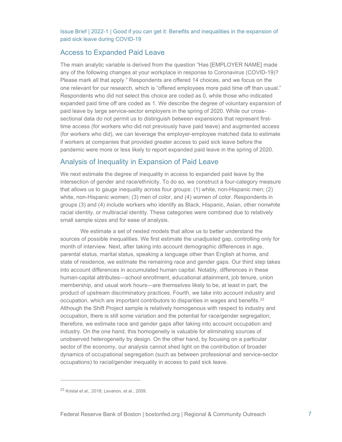## <span id="page-6-0"></span>Access to Expanded Paid Leave

The main analytic variable is derived from the question "Has [EMPLOYER NAME] made any of the following changes at your workplace in response to Coronavirus (COVID-19)? Please mark all that apply." Respondents are offered 14 choices, and we focus on the one relevant for our research, which is "offered employees more paid time off than usual." Respondents who did not select this choice are coded as 0, while those who indicated expanded paid time off are coded as 1. We describe the degree of voluntary expansion of paid leave by large service-sector employers in the spring of 2020. While our crosssectional data do not permit us to distinguish between expansions that represent firsttime access (for workers who did not previously have paid leave) and augmented access (for workers who did), we can leverage the employer-employee matched data to estimate if workers at companies that provided greater access to paid sick leave before the pandemic were more or less likely to report expanded paid leave in the spring of 2020.

## <span id="page-6-1"></span>Analysis of Inequality in Expansion of Paid Leave

We next estimate the degree of inequality in access to expanded paid leave by the intersection of gender and race/ethnicity. To do so, we construct a four-category measure that allows us to gauge inequality across four groups: (1) white, non-Hispanic men; (2) white, non-Hispanic women; (3) men of color, and (4) women of color. Respondents in groups (3) and (4) include workers who identify as Black, Hispanic, Asian, other nonwhite racial identity, or multiracial identity. These categories were combined due to relatively small sample sizes and for ease of analysis.

We estimate a set of nested models that allow us to better understand the sources of possible inequalities. We first estimate the unadjusted gap, controlling only for month of interview. Next, after taking into account demographic differences in age, parental status, marital status, speaking a language other than English at home, and state of residence, we estimate the remaining race and gender gaps. Our third step takes into account differences in accumulated human capital. Notably, differences in these human-capital attributes—school enrollment, educational attainment, job tenure, union membership, and usual work hours—are themselves likely to be, at least in part, the product of upstream discriminatory practices. Fourth, we take into account industry and occupation, which are important contributors to disparities in wages and benefits.<sup>[23](#page-6-2)</sup> Although the Shift Project sample is relatively homogenous with respect to industry and occupation, there is still some variation and the potential for race/gender segregation; therefore, we estimate race and gender gaps after taking into account occupation and industry. On the one hand, this homogeneity is valuable for eliminating sources of unobserved heterogeneity by design. On the other hand, by focusing on a particular sector of the economy, our analysis cannot shed light on the contribution of broader dynamics of occupational segregation (such as between professional and service-sector occupations) to racial/gender inequality in access to paid sick leave.

<span id="page-6-2"></span> $23$  Kristal et al., 2018; Levanon, et al., 2009.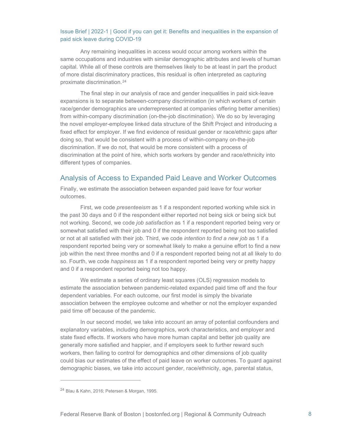Any remaining inequalities in access would occur among workers within the same occupations and industries with similar demographic attributes and levels of human capital. While all of these controls are themselves likely to be at least in part the product of more distal discriminatory practices, this residual is often interpreted as capturing proximate discrimination.[24](#page-7-1)

The final step in our analysis of race and gender inequalities in paid sick-leave expansions is to separate between-company discrimination (in which workers of certain race/gender demographics are underrepresented at companies offering better amenities) from within-company discrimination (on-the-job discrimination). We do so by leveraging the novel employer-employee linked data structure of the Shift Project and introducing a fixed effect for employer. If we find evidence of residual gender or race/ethnic gaps after doing so, that would be consistent with a process of within-company on-the-job discrimination. If we do not, that would be more consistent with a process of discrimination at the point of hire, which sorts workers by gender and race/ethnicity into different types of companies.

## <span id="page-7-0"></span>Analysis of Access to Expanded Paid Leave and Worker Outcomes

Finally, we estimate the association between expanded paid leave for four worker outcomes.

First, we code *presenteeism* as 1 if a respondent reported working while sick in the past 30 days and 0 if the respondent either reported not being sick or being sick but not working. Second, we code *job satisfaction* as 1 if a respondent reported being very or somewhat satisfied with their job and 0 if the respondent reported being not too satisfied or not at all satisfied with their job. Third, we code *intention to find a new job* as 1 if a respondent reported being very or somewhat likely to make a genuine effort to find a new job within the next three months and 0 if a respondent reported being not at all likely to do so. Fourth, we code *happiness* as 1 if a respondent reported being very or pretty happy and 0 if a respondent reported being not too happy.

We estimate a series of ordinary least squares (OLS) regression models to estimate the association between pandemic-related expanded paid time off and the four dependent variables. For each outcome, our first model is simply the bivariate association between the employee outcome and whether or not the employer expanded paid time off because of the pandemic.

In our second model, we take into account an array of potential confounders and explanatory variables, including demographics, work characteristics, and employer and state fixed effects. If workers who have more human capital and better job quality are generally more satisfied and happier, and if employers seek to further reward such workers, then failing to control for demographics and other dimensions of job quality could bias our estimates of the effect of paid leave on worker outcomes. To guard against demographic biases, we take into account gender, race/ethnicity, age, parental status,

<span id="page-7-1"></span><sup>24</sup> Blau & Kahn, 2016; Petersen & Morgan, 1995.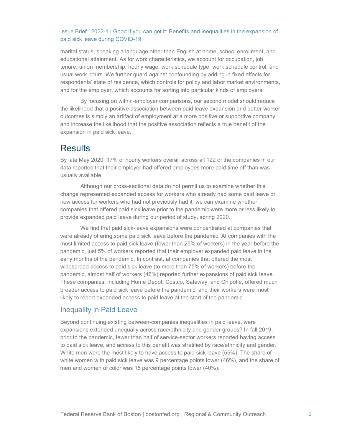marital status, speaking a language other than English at home, school enrollment, and educational attainment. As for work characteristics, we account for occupation, job tenure, union membership, hourly wage, work schedule type, work schedule control, and usual work hours. We further guard against confounding by adding in fixed effects for respondents' state of residence, which controls for policy and labor market environments, and for the employer, which accounts for sorting into particular kinds of employers.

By focusing on within-employer comparisons, our second model should reduce the likelihood that a positive association between paid leave expansion and better worker outcomes is simply an artifact of employment at a more positive or supportive company and increase the likelihood that the positive association reflects a true benefit of the expansion in paid sick leave.

## <span id="page-8-0"></span>**Results**

By late May 2020, 17% of hourly workers overall across all 122 of the companies in our data reported that their employer had offered employees more paid time off than was usually available.

Although our cross-sectional data do not permit us to examine whether this change represented expanded access for workers who already had some paid leave or new access for workers who had not previously had it, we can examine whether companies that offered paid sick leave prior to the pandemic were more or less likely to provide expanded paid leave during our period of study, spring 2020.

We find that paid sick-leave expansions were concentrated at companies that were already offering some paid sick leave before the pandemic. At companies with the most limited access to paid sick leave (fewer than 25% of workers) in the year before the pandemic, just 5% of workers reported that their employer expanded paid leave in the early months of the pandemic. In contrast, at companies that offered the most widespread access to paid sick leave (to more than 75% of workers) before the pandemic, almost half of workers (46%) reported further expansions of paid sick leave. These companies, including Home Depot, Costco, Safeway, and Chipotle, offered much broader access to paid sick leave before the pandemic, and their workers were most likely to report expanded access to paid leave at the start of the pandemic.

## <span id="page-8-1"></span>Inequality in Paid Leave

Beyond continuing existing between-companies inequalities in paid leave, were expansions extended unequally across race/ethnicity and gender groups? In fall 2019, prior to the pandemic, fewer than half of service-sector workers reported having access to paid sick leave, and access to this benefit was stratified by race/ethnicity and gender. White men were the most likely to have access to paid sick leave (55%). The share of white women with paid sick leave was 9 percentage points lower (46%), and the share of men and women of color was 15 percentage points lower (40%).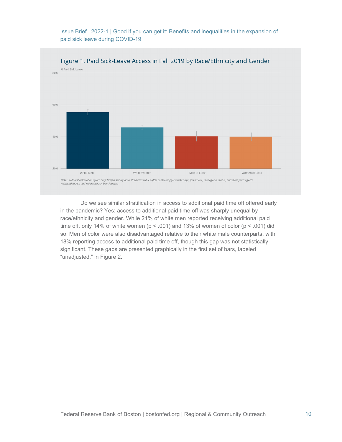

Do we see similar stratification in access to additional paid time off offered early in the pandemic? Yes: access to additional paid time off was sharply unequal by race/ethnicity and gender. While 21% of white men reported receiving additional paid time off, only 14% of white women ( $p < .001$ ) and 13% of women of color ( $p < .001$ ) did so. Men of color were also disadvantaged relative to their white male counterparts, with 18% reporting access to additional paid time off, though this gap was not statistically significant. These gaps are presented graphically in the first set of bars, labeled "unadjusted," in Figure 2.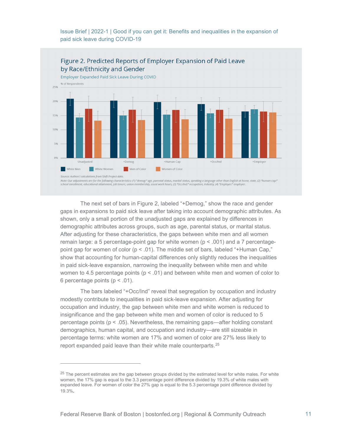

Note: Our adjustments are for the following characteristics: (1) "demog:" age, parental status, marital status, speaking a language other than English at home, state, (2) "human cap:"<br>school enrollment, educational attainm

The next set of bars in Figure 2, labeled "+Demog," show the race and gender gaps in expansions to paid sick leave after taking into account demographic attributes. As shown, only a small portion of the unadjusted gaps are explained by differences in demographic attributes across groups, such as age, parental status, or marital status. After adjusting for these characteristics, the gaps between white men and all women remain large: a 5 percentage-point gap for white women  $(p < .001)$  and a 7 percentagepoint gap for women of color ( $p < .01$ ). The middle set of bars, labeled "+Human Cap," show that accounting for human-capital differences only slightly reduces the inequalities in paid sick-leave expansion, narrowing the inequality between white men and white women to 4.5 percentage points ( $p < .01$ ) and between white men and women of color to 6 percentage points ( $p < .01$ ).

The bars labeled "+Occ/Ind" reveal that segregation by occupation and industry modestly contribute to inequalities in paid sick-leave expansion. After adjusting for occupation and industry, the gap between white men and white women is reduced to insignificance and the gap between white men and women of color is reduced to 5 percentage points ( $p < .05$ ). Nevertheless, the remaining gaps—after holding constant demographics, human capital, and occupation and industry—are still sizeable in percentage terms: white women are 17% and women of color are 27% less likely to report expanded paid leave than their white male counterparts.[25](#page-10-0)

<span id="page-10-0"></span> $25$  The percent estimates are the gap between groups divided by the estimated level for white males. For white women, the 17% gap is equal to the 3.3 percentage point difference divided by 19.3% of white males with expanded leave. For women of color the 27% gap is equal to the 5.3 percentage point difference divided by 19.3%.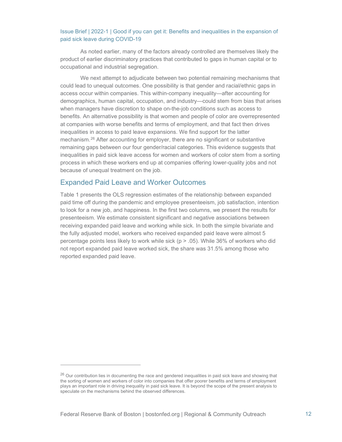As noted earlier, many of the factors already controlled are themselves likely the product of earlier discriminatory practices that contributed to gaps in human capital or to occupational and industrial segregation.

We next attempt to adjudicate between two potential remaining mechanisms that could lead to unequal outcomes. One possibility is that gender and racial/ethnic gaps in access occur within companies. This within-company inequality—after accounting for demographics, human capital, occupation, and industry—could stem from bias that arises when managers have discretion to shape on-the-job conditions such as access to benefits. An alternative possibility is that women and people of color are overrepresented at companies with worse benefits and terms of employment, and that fact then drives inequalities in access to paid leave expansions. We find support for the latter mechanism.[26](#page-11-1) After accounting for employer, there are no significant or substantive remaining gaps between our four gender/racial categories. This evidence suggests that inequalities in paid sick leave access for women and workers of color stem from a sorting process in which these workers end up at companies offering lower-quality jobs and not because of unequal treatment on the job.

## <span id="page-11-0"></span>Expanded Paid Leave and Worker Outcomes

Table 1 presents the OLS regression estimates of the relationship between expanded paid time off during the pandemic and employee presenteeism, job satisfaction, intention to look for a new job, and happiness. In the first two columns, we present the results for presenteeism. We estimate consistent significant and negative associations between receiving expanded paid leave and working while sick. In both the simple bivariate and the fully adjusted model, workers who received expanded paid leave were almost 5 percentage points less likely to work while sick (p > .05). While 36% of workers who did not report expanded paid leave worked sick, the share was 31.5% among those who reported expanded paid leave.

<span id="page-11-1"></span> $26$  Our contribution lies in documenting the race and gendered inequalities in paid sick leave and showing that the sorting of women and workers of color into companies that offer poorer benefits and terms of employment plays an important role in driving inequality in paid sick leave. It is beyond the scope of the present analysis to speculate on the mechanisms behind the observed differences.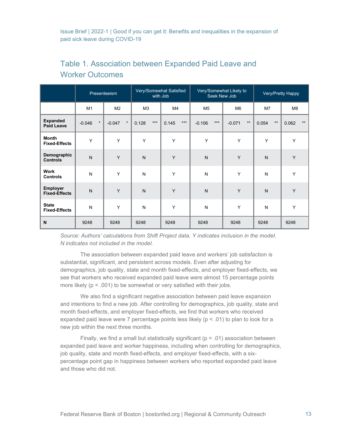|                                         | Presenteeism        |                     | Very/Somewhat Satisfied<br>with Job |                | Very/Somewhat Likely to<br>Seek New Job |                          | Very/Pretty Happy |               |
|-----------------------------------------|---------------------|---------------------|-------------------------------------|----------------|-----------------------------------------|--------------------------|-------------------|---------------|
|                                         | M <sub>1</sub>      | M <sub>2</sub>      | M <sub>3</sub>                      | M4             | M <sub>5</sub>                          | M <sub>6</sub>           | M <sub>7</sub>    | M8            |
| <b>Expanded</b><br><b>Paid Leave</b>    | $\star$<br>$-0.046$ | $\star$<br>$-0.047$ | $***$<br>0.128                      | $***$<br>0.145 | $***$<br>$-0.106$                       | $\star\star$<br>$-0.071$ | $***$<br>0.054    | $**$<br>0.062 |
| <b>Month</b><br><b>Fixed-Effects</b>    | Y                   | Y                   | Y                                   | Y              | Υ                                       | Y                        | Y                 | Y             |
| Demographic<br><b>Controls</b>          | $\mathsf{N}$        | Y                   | $\mathsf{N}$                        | Y              | N                                       | Y                        | $\mathsf{N}$      | Y             |
| <b>Work</b><br><b>Controls</b>          | N                   | Y                   | N                                   | Y              | N                                       | Y                        | N                 | Y             |
| <b>Employer</b><br><b>Fixed-Effects</b> | $\mathsf{N}$        | Y                   | $\mathsf{N}$                        | Y              | N                                       | Y                        | N                 | Y             |
| <b>State</b><br><b>Fixed-Effects</b>    | N                   | Y                   | N                                   | Y              | N                                       | Y                        | N                 | Y             |
| N                                       | 9248                | 9248                | 9248                                | 9248           | 9248                                    | 9248                     | 9248              | 9248          |

# Table 1. Association between Expanded Paid Leave and Worker Outcomes

*Source: Authors' calculations from Shift Project data. Y indicates inclusion in the model. N indicates not included in the model.*

The association between expanded paid leave and workers' job satisfaction is substantial, significant, and persistent across models. Even after adjusting for demographics, job quality, state and month fixed-effects, and employer fixed-effects, we see that workers who received expanded paid leave were almost 15 percentage points more likely (p < .001) to be somewhat or very satisfied with their jobs.

We also find a significant negative association between paid leave expansion and intentions to find a new job. After controlling for demographics, job quality, state and month fixed-effects, and employer fixed-effects, we find that workers who received expanded paid leave were 7 percentage points less likely ( $p < .01$ ) to plan to look for a new job within the next three months.

Finally, we find a small but statistically significant ( $p < .01$ ) association between expanded paid leave and worker happiness, including when controlling for demographics, job quality, state and month fixed-effects, and employer fixed-effects, with a sixpercentage point gap in happiness between workers who reported expanded paid leave and those who did not.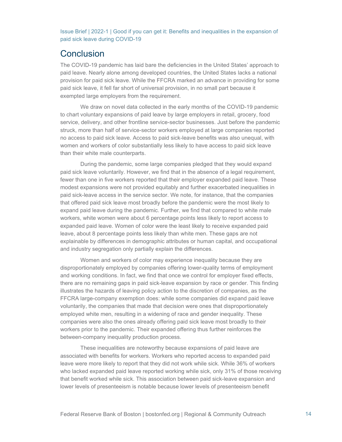# <span id="page-13-0"></span>**Conclusion**

The COVID-19 pandemic has laid bare the deficiencies in the United States' approach to paid leave. Nearly alone among developed countries, the United States lacks a national provision for paid sick leave. While the FFCRA marked an advance in providing for some paid sick leave, it fell far short of universal provision, in no small part because it exempted large employers from the requirement.

We draw on novel data collected in the early months of the COVID-19 pandemic to chart voluntary expansions of paid leave by large employers in retail, grocery, food service, delivery, and other frontline service-sector businesses. Just before the pandemic struck, more than half of service-sector workers employed at large companies reported no access to paid sick leave. Access to paid sick-leave benefits was also unequal, with women and workers of color substantially less likely to have access to paid sick leave than their white male counterparts.

During the pandemic, some large companies pledged that they would expand paid sick leave voluntarily. However, we find that in the absence of a legal requirement, fewer than one in five workers reported that their employer expanded paid leave. These modest expansions were not provided equitably and further exacerbated inequalities in paid sick-leave access in the service sector. We note, for instance, that the companies that offered paid sick leave most broadly before the pandemic were the most likely to expand paid leave during the pandemic. Further, we find that compared to white male workers, white women were about 6 percentage points less likely to report access to expanded paid leave. Women of color were the least likely to receive expanded paid leave, about 8 percentage points less likely than white men. These gaps are not explainable by differences in demographic attributes or human capital, and occupational and industry segregation only partially explain the differences.

Women and workers of color may experience inequality because they are disproportionately employed by companies offering lower-quality terms of employment and working conditions. In fact, we find that once we control for employer fixed effects, there are no remaining gaps in paid sick-leave expansion by race or gender. This finding illustrates the hazards of leaving policy action to the discretion of companies, as the FFCRA large-company exemption does: while some companies did expand paid leave voluntarily, the companies that made that decision were ones that disproportionately employed white men, resulting in a widening of race and gender inequality. These companies were also the ones already offering paid sick leave most broadly to their workers prior to the pandemic. Their expanded offering thus further reinforces the between-company inequality production process.

These inequalities are noteworthy because expansions of paid leave are associated with benefits for workers. Workers who reported access to expanded paid leave were more likely to report that they did not work while sick. While 36% of workers who lacked expanded paid leave reported working while sick, only 31% of those receiving that benefit worked while sick. This association between paid sick-leave expansion and lower levels of presenteeism is notable because lower levels of presenteeism benefit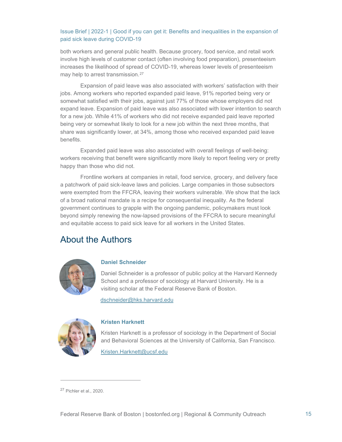both workers and general public health. Because grocery, food service, and retail work involve high levels of customer contact (often involving food preparation), presenteeism increases the likelihood of spread of COVID-19, whereas lower levels of presenteeism may help to arrest transmission.<sup>[27](#page-14-1)</sup>

Expansion of paid leave was also associated with workers' satisfaction with their jobs. Among workers who reported expanded paid leave, 91% reported being very or somewhat satisfied with their jobs, against just 77% of those whose employers did not expand leave. Expansion of paid leave was also associated with lower intention to search for a new job. While 41% of workers who did not receive expanded paid leave reported being very or somewhat likely to look for a new job within the next three months, that share was significantly lower, at 34%, among those who received expanded paid leave benefits.

Expanded paid leave was also associated with overall feelings of well-being: workers receiving that benefit were significantly more likely to report feeling very or pretty happy than those who did not.

Frontline workers at companies in retail, food service, grocery, and delivery face a patchwork of paid sick-leave laws and policies. Large companies in those subsectors were exempted from the FFCRA, leaving their workers vulnerable. We show that the lack of a broad national mandate is a recipe for consequential inequality. As the federal government continues to grapple with the ongoing pandemic, policymakers must look beyond simply renewing the now-lapsed provisions of the FFCRA to secure meaningful and equitable access to paid sick leave for all workers in the United States.

# <span id="page-14-0"></span>About the Authors



## **Daniel Schneider**

Daniel Schneider is a professor of public policy at the Harvard Kennedy School and a professor of sociology at Harvard University. He is a visiting scholar at the Federal Reserve Bank of Boston.

[dschneider@hks.harvard.edu](mailto:dschneider@hks.harvard.edu)



#### **Kristen Harknett**

Kristen Harknett is a professor of sociology in the Department of Social and Behavioral Sciences at the University of California, San Francisco.

[Kristen.Harknett@ucsf.edu](mailto:Kristen.Harknett@ucsf.edu)

<span id="page-14-1"></span><sup>27</sup> Pichler et al., 2020.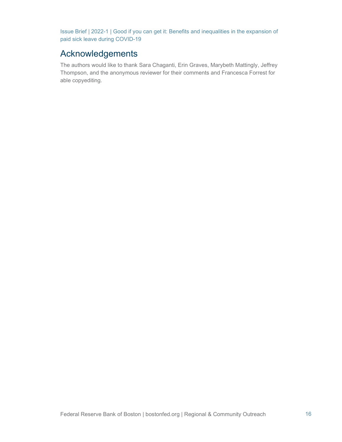# <span id="page-15-0"></span>Acknowledgements

The authors would like to thank Sara Chaganti, Erin Graves, Marybeth Mattingly, Jeffrey Thompson, and the anonymous reviewer for their comments and Francesca Forrest for able copyediting.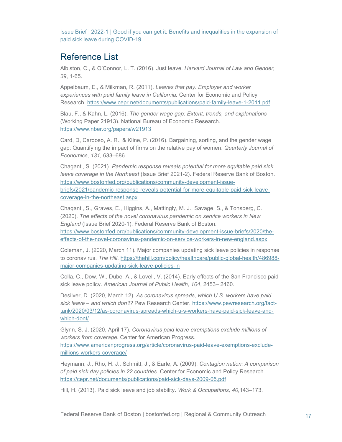# <span id="page-16-0"></span>Reference List

Albiston, C., & O'Connor, L. T. (2016). Just leave. *Harvard Journal of Law and Gender, 39*, 1-65.

Appelbaum, E., & Milkman, R. (2011). *Leaves that pay: Employer and worker experiences with paid family leave in California.* Center for Economic and Policy Research.<https://www.cepr.net/documents/publications/paid-family-leave-1-2011.pdf>

Blau, F., & Kahn, L. (2016). *The gender wage gap: Extent, trends, and explanations* (Working Paper 21913). National Bureau of Economic Research. <https://www.nber.org/papers/w21913>

Card, D, Cardoso, A. R., & Kline, P. (2016). Bargaining, sorting, and the gender wage gap: Quantifying the impact of firms on the relative pay of women. *Quarterly Journal of Economics, 131,* 633–686.

Chaganti, S. (2021). *Pandemic response reveals potential for more equitable paid sick leave coverage in the Northeast* (Issue Brief 2021-2). Federal Reserve Bank of Boston. [https://www.bostonfed.org/publications/community-development-issue](https://www.bostonfed.org/publications/community-development-issue-briefs/2021/pandemic-response-reveals-potential-for-more-equitable-paid-sick-leave-coverage-in-the-northeast.aspx)[briefs/2021/pandemic-response-reveals-potential-for-more-equitable-paid-sick-leave](https://www.bostonfed.org/publications/community-development-issue-briefs/2021/pandemic-response-reveals-potential-for-more-equitable-paid-sick-leave-coverage-in-the-northeast.aspx)[coverage-in-the-northeast.aspx](https://www.bostonfed.org/publications/community-development-issue-briefs/2021/pandemic-response-reveals-potential-for-more-equitable-paid-sick-leave-coverage-in-the-northeast.aspx) 

Chaganti, S., Graves, E., Higgins, A., Mattingly, M. J., Savage, S., & Tonsberg, C. (2020). *The effects of the novel coronavirus pandemic on service workers in New England* (Issue Brief 2020-1). Federal Reserve Bank of Boston.

[https://www.bostonfed.org/publications/community-development-issue-briefs/2020/the](https://www.bostonfed.org/publications/community-development-issue-briefs/2020/the-effects-of-the-novel-coronavirus-pandemic-on-service-workers-in-new-england.aspx)[effects-of-the-novel-coronavirus-pandemic-on-service-workers-in-new-england.aspx](https://www.bostonfed.org/publications/community-development-issue-briefs/2020/the-effects-of-the-novel-coronavirus-pandemic-on-service-workers-in-new-england.aspx) 

Coleman, J. (2020, March 11). Major companies updating sick leave policies in response to coronavirus. *The Hill*. [https://thehill.com/policy/healthcare/public-global-health/486988](https://thehill.com/policy/healthcare/public-global-health/486988-major-companies-updating-sick-leave-policies-in) [major-companies-updating-sick-leave-policies-in](https://thehill.com/policy/healthcare/public-global-health/486988-major-companies-updating-sick-leave-policies-in)

Colla, C., Dow, W., Dube, A., & Lovell, V. (2014). Early effects of the San Francisco paid sick leave policy. *American Journal of Public Health, 104*, 2453– 2460.

Desilver, D. (2020, March 12). *As coronavirus spreads, which U.S. workers have paid sick leave – and which don't?* Pew Research Center. [https://www.pewresearch.org/fact](https://www.pewresearch.org/fact-tank/2020/03/12/as-coronavirus-spreads-which-u-s-workers-have-paid-sick-leave-and-which-dont/)[tank/2020/03/12/as-coronavirus-spreads-which-u-s-workers-have-paid-sick-leave-and](https://www.pewresearch.org/fact-tank/2020/03/12/as-coronavirus-spreads-which-u-s-workers-have-paid-sick-leave-and-which-dont/)[which-dont/](https://www.pewresearch.org/fact-tank/2020/03/12/as-coronavirus-spreads-which-u-s-workers-have-paid-sick-leave-and-which-dont/) 

Glynn, S. J. (2020, April 17). *Coronavirus paid leave exemptions exclude millions of workers from coverage.* Center for American Progress.

[https://www.americanprogress.org/article/coronavirus-paid-leave-exemptions-exclude](https://www.americanprogress.org/article/coronavirus-paid-leave-exemptions-exclude-millions-workers-coverage/)[millions-workers-coverage/](https://www.americanprogress.org/article/coronavirus-paid-leave-exemptions-exclude-millions-workers-coverage/) 

Heymann, J., Rho, H. J., Schmitt, J., & Earle, A. (2009). *Contagion nation: A comparison of paid sick day policies in 22 countries*. Center for Economic and Policy Research. <https://cepr.net/documents/publications/paid-sick-days-2009-05.pdf>

Hill, H. (2013). Paid sick leave and job stability. *Work & Occupations, 40,*143–173.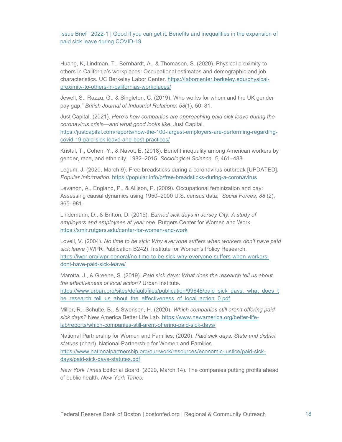Huang, K, Lindman, T., Bernhardt, A., & Thomason, S. (2020). Physical proximity to others in California's workplaces: Occupational estimates and demographic and job characteristics. UC Berkeley Labor Center. [https://laborcenter.berkeley.edu/physical](https://laborcenter.berkeley.edu/physical-proximity-to-others-in-californias-workplaces/)[proximity-to-others-in-californias-workplaces/](https://laborcenter.berkeley.edu/physical-proximity-to-others-in-californias-workplaces/) 

Jewell, S., Razzu, G., & Singleton, C. (2019). Who works for whom and the UK gender pay gap," *British Journal of Industrial Relations, 58*(1), 50–81.

Just Capital. (2021). *Here's how companies are approaching paid sick leave during the coronavirus crisis—and what good looks like.* Just Capital. [https://justcapital.com/reports/how-the-100-largest-employers-are-performing-regarding](https://justcapital.com/reports/how-the-100-largest-employers-are-performing-regarding-covid-19-paid-sick-leave-and-best-practices/)[covid-19-paid-sick-leave-and-best-practices/](https://justcapital.com/reports/how-the-100-largest-employers-are-performing-regarding-covid-19-paid-sick-leave-and-best-practices/) 

Kristal, T., Cohen, Y., & Navot, E. (2018). Benefit inequality among American workers by gender, race, and ethnicity, 1982–2015. *Sociological Science, 5,* 461–488.

Legum, J. (2020, March 9). Free breadsticks during a coronavirus outbreak [UPDATED]. *Popular Information.* <https://popular.info/p/free-breadsticks-during-a-coronavirus>

Levanon, A., England, P., & Allison, P. (2009). Occupational feminization and pay: Assessing causal dynamics using 1950–2000 U.S. census data," *Social Forces, 88* (2), 865–981.

Lindemann, D., & Britton, D. (2015). *Earned sick days in Jersey City: A study of employers and employees at year one.* Rutgers Center for Women and Work. <https://smlr.rutgers.edu/center-for-women-and-work>

Lovell, V. (2004). *No time to be sick: Why everyone suffers when workers don't have paid sick leave* (IWPR Publication B242). Institute for Women's Policy Research. [https://iwpr.org/iwpr-general/no-time-to-be-sick-why-everyone-suffers-when-workers](https://iwpr.org/iwpr-general/no-time-to-be-sick-why-everyone-suffers-when-workers-dont-have-paid-sick-leave/)[dont-have-paid-sick-leave/](https://iwpr.org/iwpr-general/no-time-to-be-sick-why-everyone-suffers-when-workers-dont-have-paid-sick-leave/) 

Marotta, J., & Greene, S. (2019). *Paid sick days: What does the research tell us about the effectiveness of local action?* Urban Institute. [https://www.urban.org/sites/default/files/publication/99648/paid\\_sick\\_days.\\_what\\_does\\_t](https://www.urban.org/sites/default/files/publication/99648/paid_sick_days._what_does_the_research_tell_us_about_the_effectiveness_of_local_action_0.pdf) he research tell us about the effectiveness of local action 0.pdf

Miller, R., Schulte, B., & Swenson, H. (2020). *Which companies still aren't offering paid sick days?* New America Better Life Lab. [https://www.newamerica.org/better-life](https://www.newamerica.org/better-life-lab/reports/which-companies-still-arent-offering-paid-sick-days/)[lab/reports/which-companies-still-arent-offering-paid-sick-days/](https://www.newamerica.org/better-life-lab/reports/which-companies-still-arent-offering-paid-sick-days/) 

National Partnership for Women and Families. (2020). *Paid sick days: State and district statues* (chart). National Partnership for Women and Families. [https://www.nationalpartnership.org/our-work/resources/economic-justice/paid-sick](https://www.nationalpartnership.org/our-work/resources/economic-justice/paid-sick-days/paid-sick-days-statutes.pdf)[days/paid-sick-days-statutes.pdf](https://www.nationalpartnership.org/our-work/resources/economic-justice/paid-sick-days/paid-sick-days-statutes.pdf)

*New York Times* Editorial Board*.* (2020, March 14). The companies putting profits ahead of public health. *New York Times*.